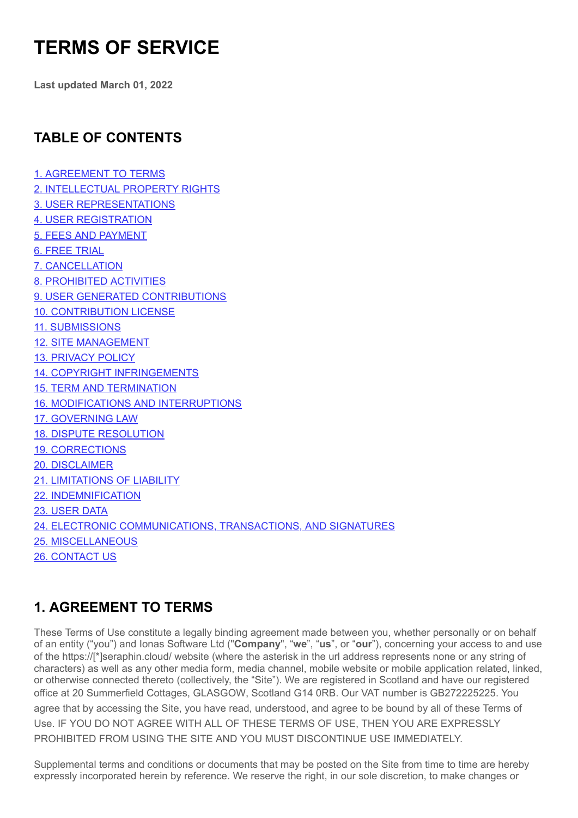# **TERMS OF SERVICE**

**Last updated March 01, 2022**

#### **TABLE OF CONTENTS**

[1. AGREEMENT TO TERMS](#page-0-0) [2. INTELLECTUAL PROPERTY RIGHTS](#page-1-0) [3. USER REPRESENTATIONS](#page-1-1) [4. USER REGISTRATION](#page-1-2) [5. FEES AND PAYMENT](#page-2-0) [6. FREE TRIAL](#page-2-1) [7. CANCELLATION](#page-2-2) [8. PROHIBITED ACTIVITIES](#page-2-3) [9. USER GENERATED CONTRIBUTIONS](#page-3-0) [10. CONTRIBUTION LICENSE](#page-4-0) [11. SUBMISSIONS](#page-4-1) [12. SITE MANAGEMENT](#page-4-2) [13. PRIVACY POLICY](#page-5-0) [14. COPYRIGHT INFRINGEMENTS](#page-5-1) [15. TERM AND TERMINATION](#page-5-2) [16. MODIFICATIONS AND INTERRUPTIONS](#page-5-3) [17. GOVERNING LAW](#page-6-0) [18. DISPUTE RESOLUTION](#page-6-1) [19. CORRECTIONS](#page-7-0) [20. DISCLAIMER](#page-7-1) [21. LIMITATIONS OF LIABILITY](#page-7-2) [22. INDEMNIFICATION](#page-8-0) [23. USER DATA](#page-8-1) [24. ELECTRONIC COMMUNICATIONS, TRANSACTIONS, AND SIGNATURES](#page-8-2) [25. MISCELLANEOUS](#page-8-3) [26. CONTACT US](#page-9-0)

# <span id="page-0-0"></span>**1. AGREEMENT TO TERMS**

These Terms of Use constitute a legally binding agreement made between you, whether personally or on behalf of an entity ("you") and Ionas Software Ltd ("**Company**", "**we**", "**us**", or "**our**"), concerning your access to and use of the https://[\*]seraphin.cloud/ website (where the asterisk in the url address represents none or any string of characters) as well as any other media form, media channel, mobile website or mobile application related, linked, or otherwise connected thereto (collectively, the "Site"). We are registered in Scotland and have our registered office at 20 Summerfield Cottages, GLASGOW, Scotland G14 0RB. Our VAT number is GB272225225. You agree that by accessing the Site, you have read, understood, and agree to be bound by all of these Terms of Use. IF YOU DO NOT AGREE WITH ALL OF THESE TERMS OF USE, THEN YOU ARE EXPRESSLY PROHIBITED FROM USING THE SITE AND YOU MUST DISCONTINUE USE IMMEDIATELY.

Supplemental terms and conditions or documents that may be posted on the Site from time to time are hereby expressly incorporated herein by reference. We reserve the right, in our sole discretion, to make changes or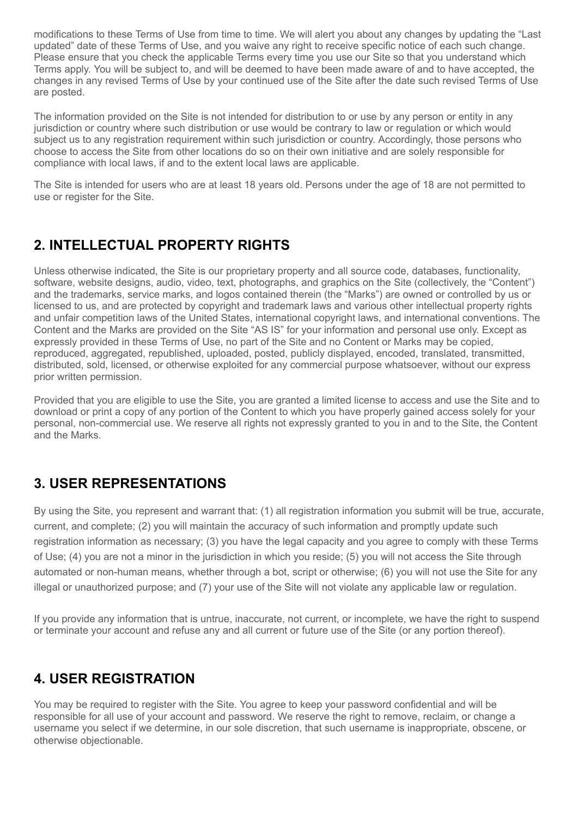modifications to these Terms of Use from time to time. We will alert you about any changes by updating the "Last updated" date of these Terms of Use, and you waive any right to receive specific notice of each such change. Please ensure that you check the applicable Terms every time you use our Site so that you understand which Terms apply. You will be subject to, and will be deemed to have been made aware of and to have accepted, the changes in any revised Terms of Use by your continued use of the Site after the date such revised Terms of Use are posted.

The information provided on the Site is not intended for distribution to or use by any person or entity in any jurisdiction or country where such distribution or use would be contrary to law or regulation or which would subject us to any registration requirement within such jurisdiction or country. Accordingly, those persons who choose to access the Site from other locations do so on their own initiative and are solely responsible for compliance with local laws, if and to the extent local laws are applicable.

The Site is intended for users who are at least 18 years old. Persons under the age of 18 are not permitted to use or register for the Site.

#### <span id="page-1-0"></span>**2. INTELLECTUAL PROPERTY RIGHTS**

Unless otherwise indicated, the Site is our proprietary property and all source code, databases, functionality, software, website designs, audio, video, text, photographs, and graphics on the Site (collectively, the "Content") and the trademarks, service marks, and logos contained therein (the "Marks") are owned or controlled by us or licensed to us, and are protected by copyright and trademark laws and various other intellectual property rights and unfair competition laws of the United States, international copyright laws, and international conventions. The Content and the Marks are provided on the Site "AS IS" for your information and personal use only. Except as expressly provided in these Terms of Use, no part of the Site and no Content or Marks may be copied, reproduced, aggregated, republished, uploaded, posted, publicly displayed, encoded, translated, transmitted, distributed, sold, licensed, or otherwise exploited for any commercial purpose whatsoever, without our express prior written permission.

Provided that you are eligible to use the Site, you are granted a limited license to access and use the Site and to download or print a copy of any portion of the Content to which you have properly gained access solely for your personal, non-commercial use. We reserve all rights not expressly granted to you in and to the Site, the Content and the Marks.

#### <span id="page-1-1"></span>**3. USER REPRESENTATIONS**

By using the Site, you represent and warrant that: (1) all registration information you submit will be true, accurate, current, and complete; (2) you will maintain the accuracy of such information and promptly update such registration information as necessary; (3) you have the legal capacity and you agree to comply with these Terms of Use; (4) you are not a minor in the jurisdiction in which you reside; (5) you will not access the Site through automated or non-human means, whether through a bot, script or otherwise; (6) you will not use the Site for any illegal or unauthorized purpose; and (7) your use of the Site will not violate any applicable law or regulation.

If you provide any information that is untrue, inaccurate, not current, or incomplete, we have the right to suspend or terminate your account and refuse any and all current or future use of the Site (or any portion thereof).

#### <span id="page-1-2"></span>**4. USER REGISTRATION**

You may be required to register with the Site. You agree to keep your password confidential and will be responsible for all use of your account and password. We reserve the right to remove, reclaim, or change a username you select if we determine, in our sole discretion, that such username is inappropriate, obscene, or otherwise objectionable.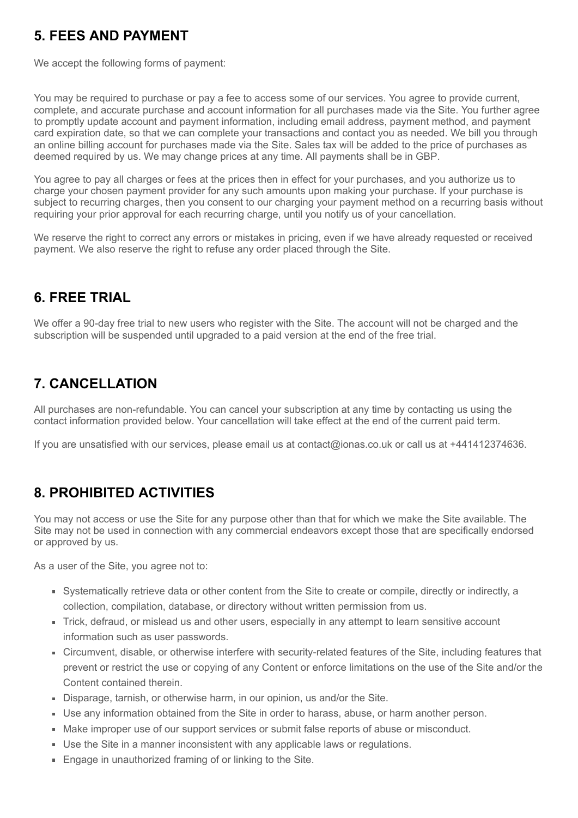#### <span id="page-2-0"></span>**5. FEES AND PAYMENT**

We accept the following forms of payment:

You may be required to purchase or pay a fee to access some of our services. You agree to provide current, complete, and accurate purchase and account information for all purchases made via the Site. You further agree to promptly update account and payment information, including email address, payment method, and payment card expiration date, so that we can complete your transactions and contact you as needed. We bill you through an online billing account for purchases made via the Site. Sales tax will be added to the price of purchases as deemed required by us. We may change prices at any time. All payments shall be in GBP.

You agree to pay all charges or fees at the prices then in effect for your purchases, and you authorize us to charge your chosen payment provider for any such amounts upon making your purchase. If your purchase is subject to recurring charges, then you consent to our charging your payment method on a recurring basis without requiring your prior approval for each recurring charge, until you notify us of your cancellation.

We reserve the right to correct any errors or mistakes in pricing, even if we have already requested or received payment. We also reserve the right to refuse any order placed through the Site.

#### <span id="page-2-1"></span>**6. FREE TRIAL**

We offer a 90-day free trial to new users who register with the Site. The account will not be charged and the subscription will be suspended until upgraded to a paid version at the end of the free trial.

# <span id="page-2-2"></span>**7. CANCELLATION**

All purchases are non-refundable. You can cancel your subscription at any time by contacting us using the contact information provided below. Your cancellation will take effect at the end of the current paid term.

If you are unsatisfied with our services, please email us at contact@ionas.co.uk or call us at +441412374636.

# <span id="page-2-3"></span>**8. PROHIBITED ACTIVITIES**

You may not access or use the Site for any purpose other than that for which we make the Site available. The Site may not be used in connection with any commercial endeavors except those that are specifically endorsed or approved by us.

As a user of the Site, you agree not to:

- Systematically retrieve data or other content from the Site to create or compile, directly or indirectly, a collection, compilation, database, or directory without written permission from us.
- Trick, defraud, or mislead us and other users, especially in any attempt to learn sensitive account information such as user passwords.
- Circumvent, disable, or otherwise interfere with security-related features of the Site, including features that prevent or restrict the use or copying of any Content or enforce limitations on the use of the Site and/or the Content contained therein.
- Disparage, tarnish, or otherwise harm, in our opinion, us and/or the Site.
- Use any information obtained from the Site in order to harass, abuse, or harm another person.
- Make improper use of our support services or submit false reports of abuse or misconduct.
- Use the Site in a manner inconsistent with any applicable laws or regulations.
- **Engage in unauthorized framing of or linking to the Site.**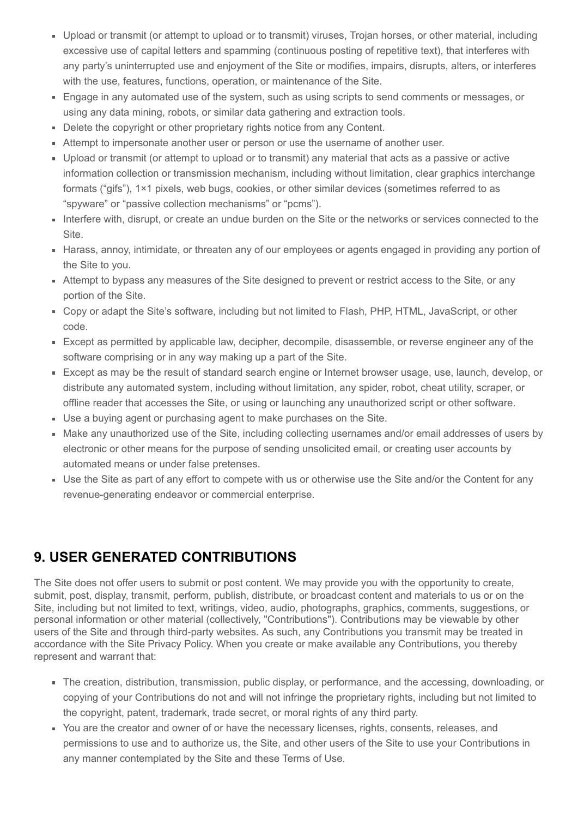- Upload or transmit (or attempt to upload or to transmit) viruses, Trojan horses, or other material, including excessive use of capital letters and spamming (continuous posting of repetitive text), that interferes with any party's uninterrupted use and enjoyment of the Site or modifies, impairs, disrupts, alters, or interferes with the use, features, functions, operation, or maintenance of the Site.
- Engage in any automated use of the system, such as using scripts to send comments or messages, or using any data mining, robots, or similar data gathering and extraction tools.
- Delete the copyright or other proprietary rights notice from any Content.
- Attempt to impersonate another user or person or use the username of another user.
- Upload or transmit (or attempt to upload or to transmit) any material that acts as a passive or active information collection or transmission mechanism, including without limitation, clear graphics interchange formats ("gifs"), 1×1 pixels, web bugs, cookies, or other similar devices (sometimes referred to as "spyware" or "passive collection mechanisms" or "pcms").
- Interfere with, disrupt, or create an undue burden on the Site or the networks or services connected to the Site.
- Harass, annoy, intimidate, or threaten any of our employees or agents engaged in providing any portion of the Site to you.
- Attempt to bypass any measures of the Site designed to prevent or restrict access to the Site, or any portion of the Site.
- Copy or adapt the Site's software, including but not limited to Flash, PHP, HTML, JavaScript, or other code.
- Except as permitted by applicable law, decipher, decompile, disassemble, or reverse engineer any of the software comprising or in any way making up a part of the Site.
- Except as may be the result of standard search engine or Internet browser usage, use, launch, develop, or distribute any automated system, including without limitation, any spider, robot, cheat utility, scraper, or offline reader that accesses the Site, or using or launching any unauthorized script or other software.
- Use a buying agent or purchasing agent to make purchases on the Site.
- Make any unauthorized use of the Site, including collecting usernames and/or email addresses of users by electronic or other means for the purpose of sending unsolicited email, or creating user accounts by automated means or under false pretenses.
- Use the Site as part of any effort to compete with us or otherwise use the Site and/or the Content for any revenue-generating endeavor or commercial enterprise.

# <span id="page-3-0"></span>**9. USER GENERATED CONTRIBUTIONS**

The Site does not offer users to submit or post content. We may provide you with the opportunity to create, submit, post, display, transmit, perform, publish, distribute, or broadcast content and materials to us or on the Site, including but not limited to text, writings, video, audio, photographs, graphics, comments, suggestions, or personal information or other material (collectively, "Contributions"). Contributions may be viewable by other users of the Site and through third-party websites. As such, any Contributions you transmit may be treated in accordance with the Site Privacy Policy. When you create or make available any Contributions, you thereby represent and warrant that:

- The creation, distribution, transmission, public display, or performance, and the accessing, downloading, or copying of your Contributions do not and will not infringe the proprietary rights, including but not limited to the copyright, patent, trademark, trade secret, or moral rights of any third party.
- You are the creator and owner of or have the necessary licenses, rights, consents, releases, and permissions to use and to authorize us, the Site, and other users of the Site to use your Contributions in any manner contemplated by the Site and these Terms of Use.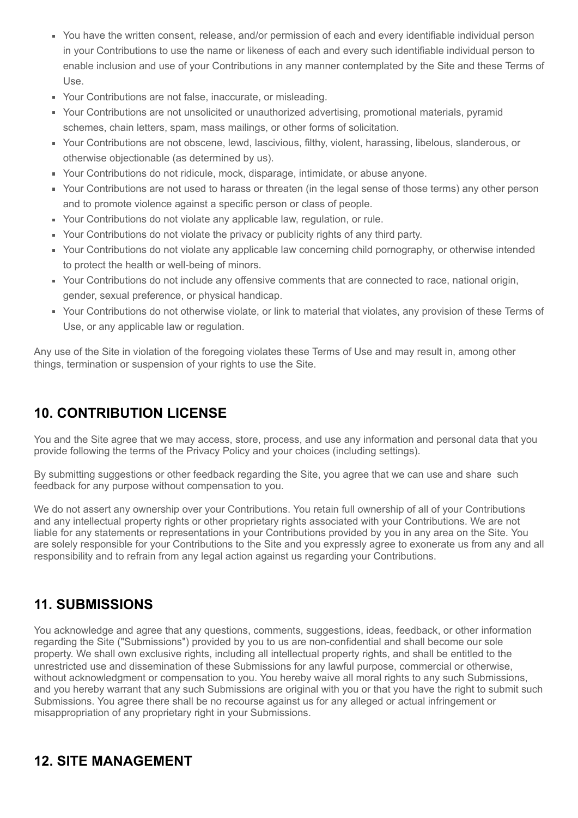- You have the written consent, release, and/or permission of each and every identifiable individual person in your Contributions to use the name or likeness of each and every such identifiable individual person to enable inclusion and use of your Contributions in any manner contemplated by the Site and these Terms of Use.
- Your Contributions are not false, inaccurate, or misleading.
- Your Contributions are not unsolicited or unauthorized advertising, promotional materials, pyramid schemes, chain letters, spam, mass mailings, or other forms of solicitation.
- Your Contributions are not obscene, lewd, lascivious, filthy, violent, harassing, libelous, slanderous, or otherwise objectionable (as determined by us).
- Your Contributions do not ridicule, mock, disparage, intimidate, or abuse anyone.
- Your Contributions are not used to harass or threaten (in the legal sense of those terms) any other person and to promote violence against a specific person or class of people.
- Your Contributions do not violate any applicable law, regulation, or rule.
- Your Contributions do not violate the privacy or publicity rights of any third party.
- Your Contributions do not violate any applicable law concerning child pornography, or otherwise intended to protect the health or well-being of minors.
- Your Contributions do not include any offensive comments that are connected to race, national origin, gender, sexual preference, or physical handicap.
- Your Contributions do not otherwise violate, or link to material that violates, any provision of these Terms of Use, or any applicable law or regulation.

Any use of the Site in violation of the foregoing violates these Terms of Use and may result in, among other things, termination or suspension of your rights to use the Site.

# <span id="page-4-0"></span>**10. CONTRIBUTION LICENSE**

You and the Site agree that we may access, store, process, and use any information and personal data that you provide following the terms of the Privacy Policy and your choices (including settings).

By submitting suggestions or other feedback regarding the Site, you agree that we can use and share such feedback for any purpose without compensation to you.

We do not assert any ownership over your Contributions. You retain full ownership of all of your Contributions and any intellectual property rights or other proprietary rights associated with your Contributions. We are not liable for any statements or representations in your Contributions provided by you in any area on the Site. You are solely responsible for your Contributions to the Site and you expressly agree to exonerate us from any and all responsibility and to refrain from any legal action against us regarding your Contributions.

#### <span id="page-4-1"></span>**11. SUBMISSIONS**

You acknowledge and agree that any questions, comments, suggestions, ideas, feedback, or other information regarding the Site ("Submissions") provided by you to us are non-confidential and shall become our sole property. We shall own exclusive rights, including all intellectual property rights, and shall be entitled to the unrestricted use and dissemination of these Submissions for any lawful purpose, commercial or otherwise, without acknowledgment or compensation to you. You hereby waive all moral rights to any such Submissions, and you hereby warrant that any such Submissions are original with you or that you have the right to submit such Submissions. You agree there shall be no recourse against us for any alleged or actual infringement or misappropriation of any proprietary right in your Submissions.

#### <span id="page-4-2"></span>**12. SITE MANAGEMENT**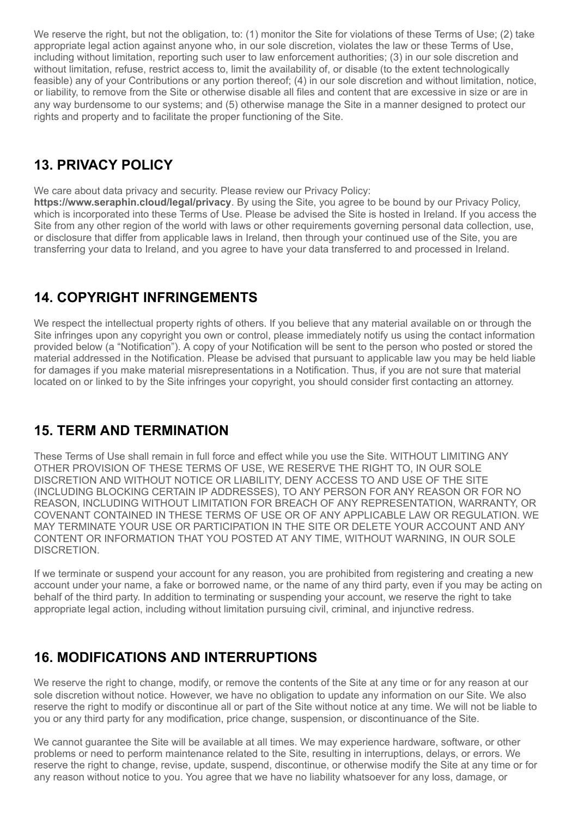We reserve the right, but not the obligation, to: (1) monitor the Site for violations of these Terms of Use; (2) take appropriate legal action against anyone who, in our sole discretion, violates the law or these Terms of Use, including without limitation, reporting such user to law enforcement authorities; (3) in our sole discretion and without limitation, refuse, restrict access to, limit the availability of, or disable (to the extent technologically feasible) any of your Contributions or any portion thereof; (4) in our sole discretion and without limitation, notice, or liability, to remove from the Site or otherwise disable all files and content that are excessive in size or are in any way burdensome to our systems; and (5) otherwise manage the Site in a manner designed to protect our rights and property and to facilitate the proper functioning of the Site.

# <span id="page-5-0"></span>**13. PRIVACY POLICY**

We care about data privacy and security. Please review our Privacy Policy:

**https://www.seraphin.cloud/legal/privacy**. By using the Site, you agree to be bound by our Privacy Policy, which is incorporated into these Terms of Use. Please be advised the Site is hosted in Ireland. If you access the Site from any other region of the world with laws or other requirements governing personal data collection, use, or disclosure that differ from applicable laws in Ireland, then through your continued use of the Site, you are transferring your data to Ireland, and you agree to have your data transferred to and processed in Ireland.

# <span id="page-5-1"></span>**14. COPYRIGHT INFRINGEMENTS**

We respect the intellectual property rights of others. If you believe that any material available on or through the Site infringes upon any copyright you own or control, please immediately notify us using the contact information provided below (a "Notification"). A copy of your Notification will be sent to the person who posted or stored the material addressed in the Notification. Please be advised that pursuant to applicable law you may be held liable for damages if you make material misrepresentations in a Notification. Thus, if you are not sure that material located on or linked to by the Site infringes your copyright, you should consider first contacting an attorney.

# <span id="page-5-2"></span>**15. TERM AND TERMINATION**

These Terms of Use shall remain in full force and effect while you use the Site. WITHOUT LIMITING ANY OTHER PROVISION OF THESE TERMS OF USE, WE RESERVE THE RIGHT TO, IN OUR SOLE DISCRETION AND WITHOUT NOTICE OR LIABILITY, DENY ACCESS TO AND USE OF THE SITE (INCLUDING BLOCKING CERTAIN IP ADDRESSES), TO ANY PERSON FOR ANY REASON OR FOR NO REASON, INCLUDING WITHOUT LIMITATION FOR BREACH OF ANY REPRESENTATION, WARRANTY, OR COVENANT CONTAINED IN THESE TERMS OF USE OR OF ANY APPLICABLE LAW OR REGULATION. WE MAY TERMINATE YOUR USE OR PARTICIPATION IN THE SITE OR DELETE YOUR ACCOUNT AND ANY CONTENT OR INFORMATION THAT YOU POSTED AT ANY TIME, WITHOUT WARNING, IN OUR SOLE DISCRETION.

If we terminate or suspend your account for any reason, you are prohibited from registering and creating a new account under your name, a fake or borrowed name, or the name of any third party, even if you may be acting on behalf of the third party. In addition to terminating or suspending your account, we reserve the right to take appropriate legal action, including without limitation pursuing civil, criminal, and injunctive redress.

# <span id="page-5-3"></span>**16. MODIFICATIONS AND INTERRUPTIONS**

We reserve the right to change, modify, or remove the contents of the Site at any time or for any reason at our sole discretion without notice. However, we have no obligation to update any information on our Site. We also reserve the right to modify or discontinue all or part of the Site without notice at any time. We will not be liable to you or any third party for any modification, price change, suspension, or discontinuance of the Site.

We cannot guarantee the Site will be available at all times. We may experience hardware, software, or other problems or need to perform maintenance related to the Site, resulting in interruptions, delays, or errors. We reserve the right to change, revise, update, suspend, discontinue, or otherwise modify the Site at any time or for any reason without notice to you. You agree that we have no liability whatsoever for any loss, damage, or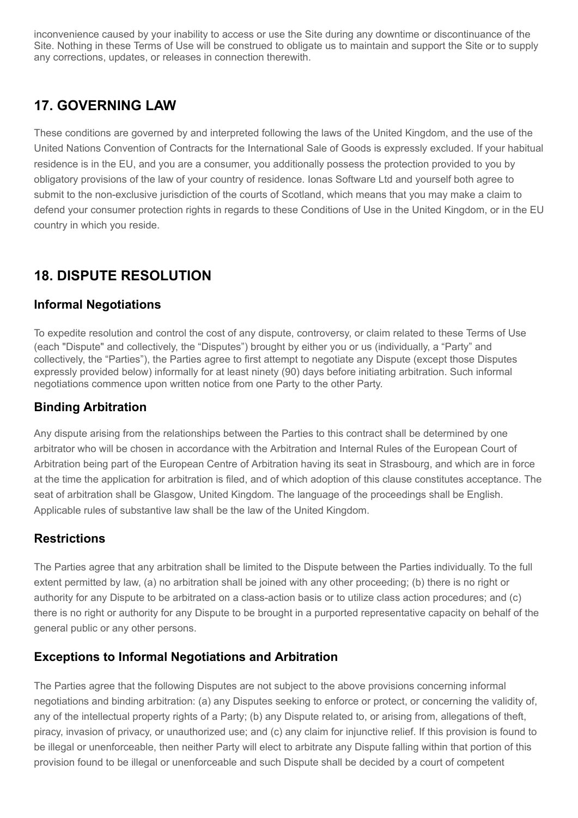inconvenience caused by your inability to access or use the Site during any downtime or discontinuance of the Site. Nothing in these Terms of Use will be construed to obligate us to maintain and support the Site or to supply any corrections, updates, or releases in connection therewith.

# <span id="page-6-0"></span>**17. GOVERNING LAW**

These conditions are governed by and interpreted following the laws of the United Kingdom, and the use of the United Nations Convention of Contracts for the International Sale of Goods is expressly excluded. If your habitual residence is in the EU, and you are a consumer, you additionally possess the protection provided to you by obligatory provisions of the law of your country of residence. Ionas Software Ltd and yourself both agree to submit to the non-exclusive jurisdiction of the courts of Scotland, which means that you may make a claim to defend your consumer protection rights in regards to these Conditions of Use in the United Kingdom, or in the EU country in which you reside.

# <span id="page-6-1"></span>**18. DISPUTE RESOLUTION**

#### **Informal Negotiations**

To expedite resolution and control the cost of any dispute, controversy, or claim related to these Terms of Use (each "Dispute" and collectively, the "Disputes") brought by either you or us (individually, a "Party" and collectively, the "Parties"), the Parties agree to first attempt to negotiate any Dispute (except those Disputes expressly provided below) informally for at least ninety (90) days before initiating arbitration. Such informal negotiations commence upon written notice from one Party to the other Party.

#### **Binding Arbitration**

Any dispute arising from the relationships between the Parties to this contract shall be determined by one arbitrator who will be chosen in accordance with the Arbitration and Internal Rules of the European Court of Arbitration being part of the European Centre of Arbitration having its seat in Strasbourg, and which are in force at the time the application for arbitration is filed, and of which adoption of this clause constitutes acceptance. The seat of arbitration shall be Glasgow, United Kingdom. The language of the proceedings shall be English. Applicable rules of substantive law shall be the law of the United Kingdom.

#### **Restrictions**

The Parties agree that any arbitration shall be limited to the Dispute between the Parties individually. To the full extent permitted by law, (a) no arbitration shall be joined with any other proceeding; (b) there is no right or authority for any Dispute to be arbitrated on a class-action basis or to utilize class action procedures; and (c) there is no right or authority for any Dispute to be brought in a purported representative capacity on behalf of the general public or any other persons.

#### **Exceptions to Informal Negotiations and Arbitration**

The Parties agree that the following Disputes are not subject to the above provisions concerning informal negotiations and binding arbitration: (a) any Disputes seeking to enforce or protect, or concerning the validity of, any of the intellectual property rights of a Party; (b) any Dispute related to, or arising from, allegations of theft, piracy, invasion of privacy, or unauthorized use; and (c) any claim for injunctive relief. If this provision is found to be illegal or unenforceable, then neither Party will elect to arbitrate any Dispute falling within that portion of this provision found to be illegal or unenforceable and such Dispute shall be decided by a court of competent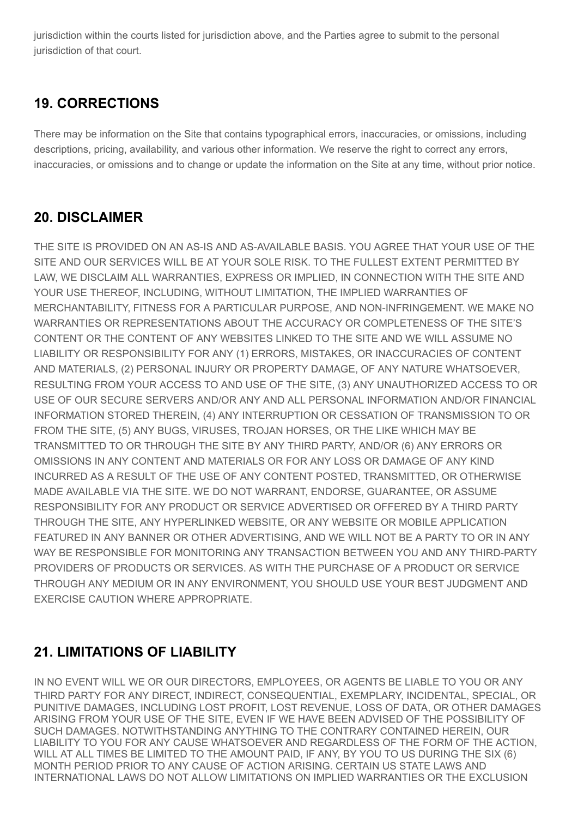jurisdiction within the courts listed for jurisdiction above, and the Parties agree to submit to the personal jurisdiction of that court.

# <span id="page-7-0"></span>**19. CORRECTIONS**

There may be information on the Site that contains typographical errors, inaccuracies, or omissions, including descriptions, pricing, availability, and various other information. We reserve the right to correct any errors, inaccuracies, or omissions and to change or update the information on the Site at any time, without prior notice.

# <span id="page-7-1"></span>**20. DISCLAIMER**

THE SITE IS PROVIDED ON AN AS-IS AND AS-AVAILABLE BASIS. YOU AGREE THAT YOUR USE OF THE SITE AND OUR SERVICES WILL BE AT YOUR SOLE RISK. TO THE FULLEST EXTENT PERMITTED BY LAW, WE DISCLAIM ALL WARRANTIES, EXPRESS OR IMPLIED, IN CONNECTION WITH THE SITE AND YOUR USE THEREOF, INCLUDING, WITHOUT LIMITATION, THE IMPLIED WARRANTIES OF MERCHANTABILITY, FITNESS FOR A PARTICULAR PURPOSE, AND NON-INFRINGEMENT. WE MAKE NO WARRANTIES OR REPRESENTATIONS ABOUT THE ACCURACY OR COMPLETENESS OF THE SITE'S CONTENT OR THE CONTENT OF ANY WEBSITES LINKED TO THE SITE AND WE WILL ASSUME NO LIABILITY OR RESPONSIBILITY FOR ANY (1) ERRORS, MISTAKES, OR INACCURACIES OF CONTENT AND MATERIALS, (2) PERSONAL INJURY OR PROPERTY DAMAGE, OF ANY NATURE WHATSOEVER, RESULTING FROM YOUR ACCESS TO AND USE OF THE SITE, (3) ANY UNAUTHORIZED ACCESS TO OR USE OF OUR SECURE SERVERS AND/OR ANY AND ALL PERSONAL INFORMATION AND/OR FINANCIAL INFORMATION STORED THEREIN, (4) ANY INTERRUPTION OR CESSATION OF TRANSMISSION TO OR FROM THE SITE, (5) ANY BUGS, VIRUSES, TROJAN HORSES, OR THE LIKE WHICH MAY BE TRANSMITTED TO OR THROUGH THE SITE BY ANY THIRD PARTY, AND/OR (6) ANY ERRORS OR OMISSIONS IN ANY CONTENT AND MATERIALS OR FOR ANY LOSS OR DAMAGE OF ANY KIND INCURRED AS A RESULT OF THE USE OF ANY CONTENT POSTED, TRANSMITTED, OR OTHERWISE MADE AVAILABLE VIA THE SITE. WE DO NOT WARRANT, ENDORSE, GUARANTEE, OR ASSUME RESPONSIBILITY FOR ANY PRODUCT OR SERVICE ADVERTISED OR OFFERED BY A THIRD PARTY THROUGH THE SITE, ANY HYPERLINKED WEBSITE, OR ANY WEBSITE OR MOBILE APPLICATION FEATURED IN ANY BANNER OR OTHER ADVERTISING, AND WE WILL NOT BE A PARTY TO OR IN ANY WAY BE RESPONSIBLE FOR MONITORING ANY TRANSACTION BETWEEN YOU AND ANY THIRD-PARTY PROVIDERS OF PRODUCTS OR SERVICES. AS WITH THE PURCHASE OF A PRODUCT OR SERVICE THROUGH ANY MEDIUM OR IN ANY ENVIRONMENT, YOU SHOULD USE YOUR BEST JUDGMENT AND EXERCISE CAUTION WHERE APPROPRIATE.

# <span id="page-7-2"></span>**21. LIMITATIONS OF LIABILITY**

IN NO EVENT WILL WE OR OUR DIRECTORS, EMPLOYEES, OR AGENTS BE LIABLE TO YOU OR ANY THIRD PARTY FOR ANY DIRECT, INDIRECT, CONSEQUENTIAL, EXEMPLARY, INCIDENTAL, SPECIAL, OR PUNITIVE DAMAGES, INCLUDING LOST PROFIT, LOST REVENUE, LOSS OF DATA, OR OTHER DAMAGES ARISING FROM YOUR USE OF THE SITE, EVEN IF WE HAVE BEEN ADVISED OF THE POSSIBILITY OF SUCH DAMAGES. NOTWITHSTANDING ANYTHING TO THE CONTRARY CONTAINED HEREIN, OUR LIABILITY TO YOU FOR ANY CAUSE WHATSOEVER AND REGARDLESS OF THE FORM OF THE ACTION, WILL AT ALL TIMES BE LIMITED TO THE AMOUNT PAID, IF ANY, BY YOU TO US DURING THE SIX (6) MONTH PERIOD PRIOR TO ANY CAUSE OF ACTION ARISING. CERTAIN US STATE LAWS AND INTERNATIONAL LAWS DO NOT ALLOW LIMITATIONS ON IMPLIED WARRANTIES OR THE EXCLUSION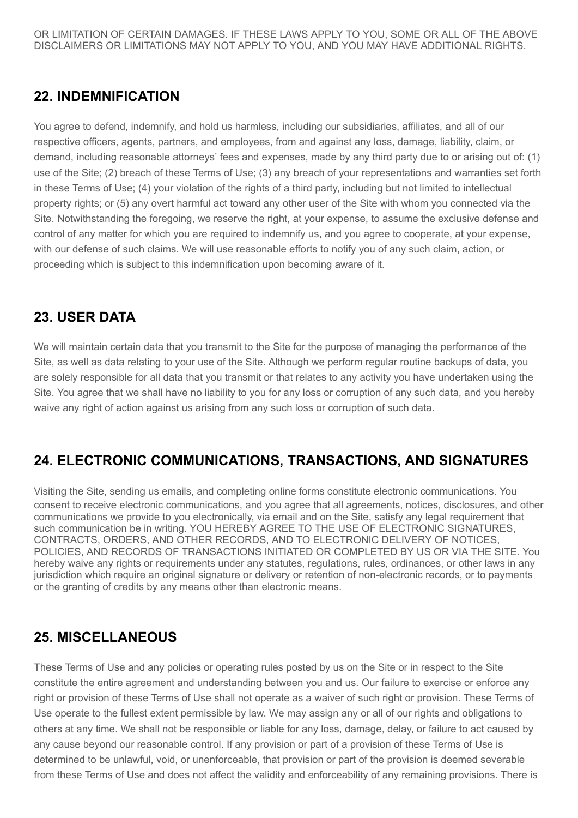#### <span id="page-8-0"></span>**22. INDEMNIFICATION**

You agree to defend, indemnify, and hold us harmless, including our subsidiaries, affiliates, and all of our respective officers, agents, partners, and employees, from and against any loss, damage, liability, claim, or demand, including reasonable attorneys' fees and expenses, made by any third party due to or arising out of: (1) use of the Site; (2) breach of these Terms of Use; (3) any breach of your representations and warranties set forth in these Terms of Use; (4) your violation of the rights of a third party, including but not limited to intellectual property rights; or (5) any overt harmful act toward any other user of the Site with whom you connected via the Site. Notwithstanding the foregoing, we reserve the right, at your expense, to assume the exclusive defense and control of any matter for which you are required to indemnify us, and you agree to cooperate, at your expense, with our defense of such claims. We will use reasonable efforts to notify you of any such claim, action, or proceeding which is subject to this indemnification upon becoming aware of it.

#### <span id="page-8-1"></span>**23. USER DATA**

We will maintain certain data that you transmit to the Site for the purpose of managing the performance of the Site, as well as data relating to your use of the Site. Although we perform regular routine backups of data, you are solely responsible for all data that you transmit or that relates to any activity you have undertaken using the Site. You agree that we shall have no liability to you for any loss or corruption of any such data, and you hereby waive any right of action against us arising from any such loss or corruption of such data.

#### <span id="page-8-2"></span>**24. ELECTRONIC COMMUNICATIONS, TRANSACTIONS, AND SIGNATURES**

Visiting the Site, sending us emails, and completing online forms constitute electronic communications. You consent to receive electronic communications, and you agree that all agreements, notices, disclosures, and other communications we provide to you electronically, via email and on the Site, satisfy any legal requirement that such communication be in writing. YOU HEREBY AGREE TO THE USE OF ELECTRONIC SIGNATURES, CONTRACTS, ORDERS, AND OTHER RECORDS, AND TO ELECTRONIC DELIVERY OF NOTICES, POLICIES, AND RECORDS OF TRANSACTIONS INITIATED OR COMPLETED BY US OR VIA THE SITE. You hereby waive any rights or requirements under any statutes, regulations, rules, ordinances, or other laws in any jurisdiction which require an original signature or delivery or retention of non-electronic records, or to payments or the granting of credits by any means other than electronic means.

# <span id="page-8-3"></span>**25. MISCELLANEOUS**

These Terms of Use and any policies or operating rules posted by us on the Site or in respect to the Site constitute the entire agreement and understanding between you and us. Our failure to exercise or enforce any right or provision of these Terms of Use shall not operate as a waiver of such right or provision. These Terms of Use operate to the fullest extent permissible by law. We may assign any or all of our rights and obligations to others at any time. We shall not be responsible or liable for any loss, damage, delay, or failure to act caused by any cause beyond our reasonable control. If any provision or part of a provision of these Terms of Use is determined to be unlawful, void, or unenforceable, that provision or part of the provision is deemed severable from these Terms of Use and does not affect the validity and enforceability of any remaining provisions. There is